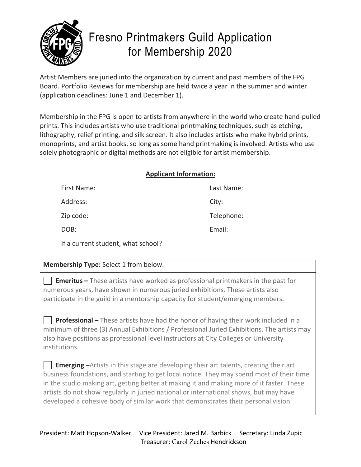

# Fresno Printmakers Guild Application for Membership 2020

Artist Members are juried into the organization by current and past members of the FPG Board. Portfolio Reviews for membership are held twice a year in the summer and winter (application deadlines: June 1 and December 1).

Membership in the FPG is open to artists from anywhere in the world who create hand-pulled prints. This includes artists who use traditional printmaking techniques, such as etching, lithography, relief printing, and silk screen. It also includes artists who make hybrid prints, monoprints, and artist books, so long as some hand printmaking is involved. Artists who use solely photographic or digital methods are not eligible for artist membership.

## **Applicant Information:**

| First Name: | Last Name: |
|-------------|------------|
| Address:    | City:      |
| Zip code:   | Telephone: |
| DOB:        | Email:     |
|             |            |

If a current student, what school?

# **Membership Type:** Select 1 from below.

 **Emeritus –** These artists have worked as professional printmakers in the past for numerous years, have shown in numerous juried exhibitions. These artists also participate in the guild in a mentorship capacity for student/emerging members.

 **Professional –** These artists have had the honor of having their work included in a minimum of three (3) Annual Exhibitions / Professional Juried Exhibitions. The artists may also have positions as professional level instructors at City Colleges or University institutions.

**Emerging** –Artists in this stage are developing their art talents, creating their art business foundations, and starting to get local notice. They may spend most of their time in the studio making art, getting better at making it and making more of it faster. These artists do not show regularly in juried national or international shows, but may have developed a cohesive body of similar work that demonstrates their personal vision.